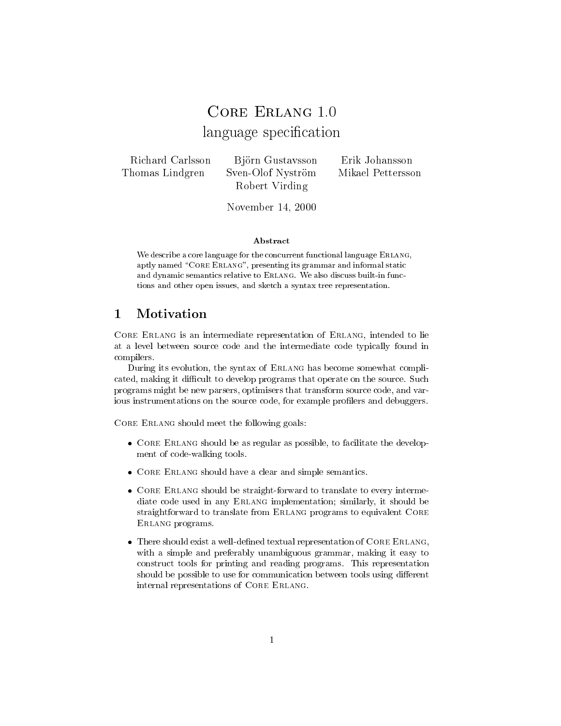# CORE ERLANG 1.0 language specification and a specification of the contract of the contract of the contract of the contract of the contract of the contract of the contract of the contract of the contract of the contract of the contract of

RichardThomas Lindgren

Björn Gustavsson Erik Johansson Sven-Olof Nyström Mikael Pettersson Robert Virding

 $N$ ove $N$ lidel 14, 2000

#### Abstract

We describe a core language for the concurrent functional language Erlang, aptly named "CORE ERLANG", presenting its grammar and informal static and dynamic semantics relative to Erlang. We also discuss built-in functions and other open issues, and sketch a syntax tree representation.

## $\mathbf{1}$

Core Erland is an intermediate representation of the core of the core of the second to lie and the line of the at a level between source code and the intermediate code typically found in compilers.

During its evolution, the syntax of ERLANG has become somewhat complicated, making it difficult to develop programs that operate on the source. Such programs might be new parsers, optimisers that transform source code, and various instrumentations on the source code, for example profilers and debuggers.

Core Erlang should meet the following goals:

- $\bullet\,$  CORE ERLANG should be as regular as possible, to facilitate the development of code-walking tools.
- $\bullet$  CORE ERLANG should have a clear and simple semantics.
- $\bullet$  CORE ERLANG should be straight-forward to translate to every intermediate code used in any ERLANG implementation; similarly, it should be straightforward to translate from Erlang programs to equivalent Core Erlang programs.
- $\bullet$  -f nere should exist a well-defined textual representation of CORE ERLANG, with a simple and preferably unambiguous grammar, making it easy to construct tools for printing and reading programs. This representation should be possible to use for communication between tools using different internal representations of Core Erlang.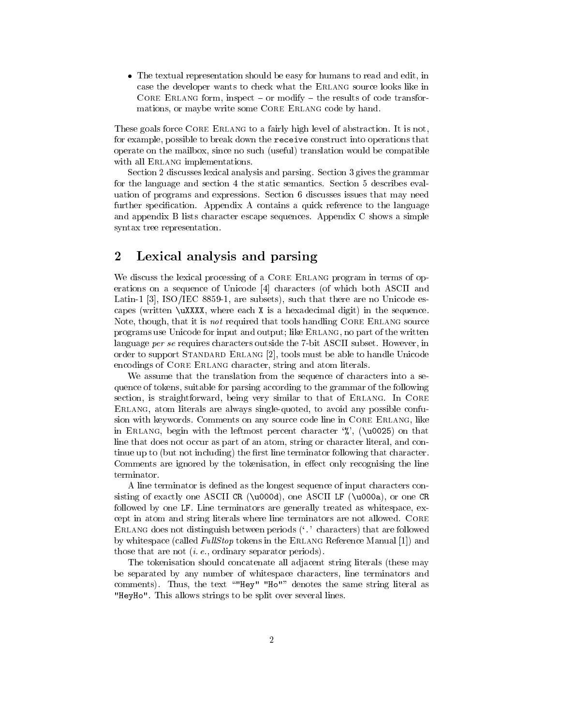$\bullet$  1 ne textual representation should be easy for humans to read and edit, in case the developer wants to check what the Erlang source looks like in Core Erann crim, mode or modify the results of code transformations, or maybe write some CORE ERLANG code by hand.

These goals force CORE ERLANG to a fairly high level of abstraction. It is not, for example, possible to break down the receive construct into operations that operate on the mailbox, since no such (useful) translation would be compatible with all ERLANG implementations.

Section 2 discusses lexical analysis and parsing. Section 3 gives the grammar for the language and section 4 the static semantics. Section 5 describes evaluation of programs and expressions. Section 6 discusses issues that may need further specification. Appendix A contains a quick reference to the language and appendix B lists character escape sequences. Appendix C shows a simple syntax tree representation.

## 2 Lexical analysis and parsing

We discuss the lexical processing of a CORE ERLANG program in terms of operations on a sequence of Unicode [4] characters (of which both ASCII and Latin-1 [3], ISO/IEC 8859-1, are subsets), such that there are no Unicode escapes (written \uXXXX, where each X is a hexadecimal digit) in the sequence. Note, though, that it is *not* required that tools handling CORE ERLANG source programs use Unicode for input and output; like ERLANG, no part of the written language per se requires characters outside the 7-bit ASCII subset. However, in order to support Standard Erlang [2], tools must be able to handle Unicode encodings of CORE ERLANG character, string and atom literals.

We assume that the translation from the sequence of characters into a sequence of tokens, suitable for parsing according to the grammar of the following section, is straightforward, being very similar to that of ERLANG. In CORE Erlang, atom literals are always single-quoted, to avoid any possible confusion with keywords. Comments on any source code line in CORE ERLANG, like in ERLANG, begin with the leftmost percent character  $\%$ , (\u0025) on that line that does not occur as part of an atom, string or character literal, and continue up to (but not including) the first line terminator following that character. Comments are ignored by the tokenisation, in effect only recognising the line terminator.

A line terminator is defined as the longest sequence of input characters consisting of exactly one ASCII CR (\u000d), one ASCII LF (\u000a), or one CR followed by one LF. Line terminators are generally treated as whitespace, except in atom and string literals where line terminators are not allowed. Core Erlang does not distinguish between periods (`.' characters) that are followed by whitespace (called  $FullStop$  tokens in the ERLANG Reference Manual [1]) and those that are not (i. e., ordinary separator periods).

The tokenisation should concatenate all adjacent string literals (these may be separated by any number of whitespace characters, line terminators and comments). Thus, the text ""Hey" "Ho"" denotes the same string literal as "HeyHo". This allows strings to be split over several lines.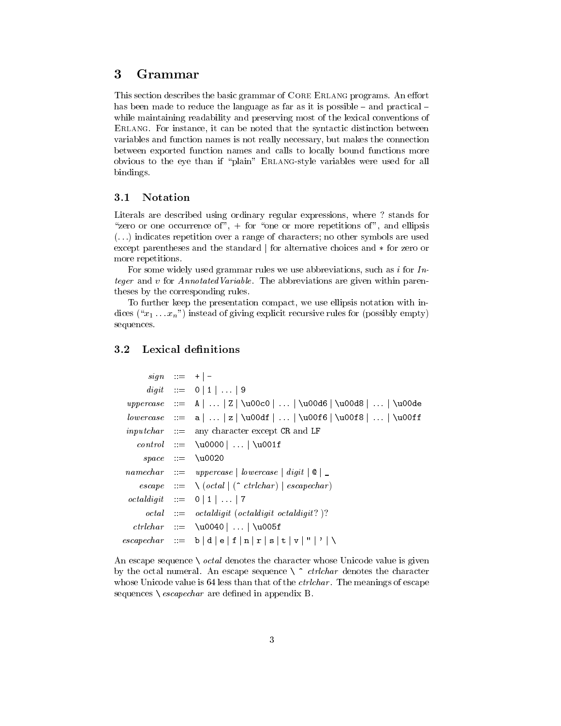#### 3 **Grammar**

This section describes the basic grammar of CORE ERLANG programs. An effort has been made to reduce the language as far as it is possible  $-$  and practical  $$ while maintaining readability and preserving most of the lexical conventions of Erlang. For instance, it can be noted that the syntactic distinction between variables and function names is not really necessary, but makes the connection between exported function names and calls to locally bound functions more obvious to the eye than if "plain" ERLANG-style variables were used for all bindings.

### 3.1 Notation

Literals are described using ordinary regular expressions, where ? stands for "zero or one occurrence of", + for "one or more repetitions of", and ellipsis  $(\ldots)$  indicates repetition over a range of characters; no other symbols are used except parentheses and the standard  $\vert$  for alternative choices and  $*$  for zero or more repetitions.

For some widely used grammar rules we use abbreviations, such as  $i$  for  $In$ teger and v for *AnnotatedVariable*. The abbreviations are given within parentheses by the corresponding rules.

To further keep the presentation compact, we use ellipsis notation with indices  $(\mathbf{x}_1 \dots \mathbf{x}_n)$  instead of giving explicit recursive rules for (possibly empty) sequences.

## 3.2 Lexical definitions

|  | $sign \quad \equiv \quad + \mid -$                                                                              |
|--|-----------------------------------------------------------------------------------------------------------------|
|  | $digit$ $:=$ 0   1      9                                                                                       |
|  | $\textit{uppercase} :: = \texttt{A} \dots  Z  \u00c0   \dots   \u00d6   \u00d8   \dots   \u00de$                |
|  | $lowercase :: = a      z   \u00df      \u00f6   \u00f8      \u00ff$                                             |
|  | $inputchar$ ::= any character except CR and LF                                                                  |
|  | $control ::= \u0000      \u001f$                                                                                |
|  | $space ::=$ \u0020                                                                                              |
|  | $namechar ::= uppercase \mid lowercase \mid digit \mid \mathcal{Q} \mid$                                        |
|  | $\text{escape} \quad ::= \quad \setminus (\text{octal} \mid (\uparrow \text{ctrlchar}) \mid \text{escapechar})$ |
|  | $octal digit$ $\cdots$ 0   1      7                                                                             |
|  | $\textit{octal}$ ::= $\textit{octaldigit}$ (octaldigit octaldigit?)?                                            |
|  | $ctrlchar ::= \u0040      \u005f$                                                                               |
|  | $\emph{escapechar}$ ::= b   d   e   f   n   r   s   t   v   "   '   \                                           |

An escape sequence  $\setminus$  *octal* denotes the character whose Unicode value is given by the octal numeral. An escape sequence  $\setminus \hat{c}$  ctrlchar denotes the character whose Unicode value is 64 less than that of the *ctrichar*. The meanings of escape sequences  $\setminus$  *escapechar* are defined in appendix B.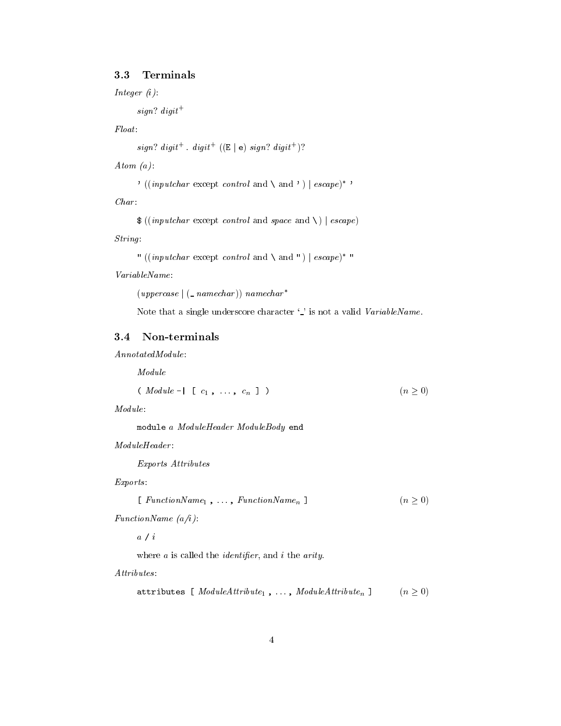### 3.3 Terminals

Integer (i):

sign? digit  $+$ 

Float :

 $sign?$  digit<sup>+</sup>. digit<sup>+</sup> ((E|e) sign? digit<sup>+</sup>)?

Atom  $(a)$ :

```
' ((inputchar except control and \ \and ') | escape)<sup>*</sup>'
```

```
Char:<br>\$((inputchar \except \ control \ and \ space \ and \ \ ) \ | \ escape)
```

```
String:<br>" ((inputchar except control and \ and ") | escape)* "
```
VariableName:

 $(uppercase \mid (\_namechar) )$  namechar<sup>\*</sup>

Note that a single underscore character '.' is not a valid VariableName.

#### 3.4 Non-terminals

AnnotatedModule:

Module

$$
(Module - | [c1, ..., cn ])
$$
 (n \ge 0)

Module:

module <sup>a</sup> ModuleHeader ModuleBody end

 $ModuleHeader$ 

Exports Attributes

Exports :

$$
[FunctionName_1, \ldots, FunctionName_n]
$$
 (n \ge 0)

FunctionName (a/i):

a / <sup>i</sup>

where  $a$  is called the *identifier*, and  $i$  the *arity*.

Attributes :

```
attributes [ ModuleAttribute_1, ..., ModuleAttribute_n ] (n \geq 0)
```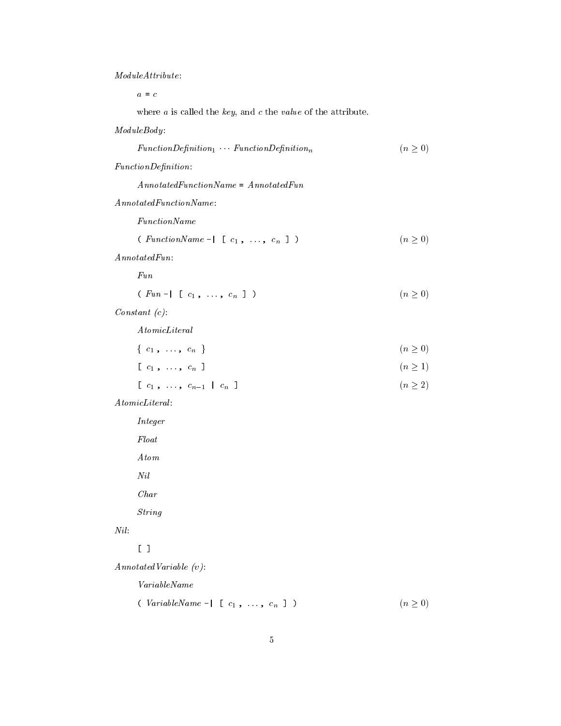ModuleAttribute:

where  $a$  is called the *key*, and  $c$  the *value* of the attribute.

 $ModuleBody:$ 

| $FunctionDefinition_1 \t FunctionDefinition_n$ |  | (n>0) |
|------------------------------------------------|--|-------|
|------------------------------------------------|--|-------|

 $\label{eq:1} FunctionDefinition:$ 

AnnotatedFunctionName = AnnotatedFun

AnnotatedFunctionName:

FunctionName

(  $\text{FunctionName -} \mid [\ c_1, \ldots, \ c_n]$  )  $(n \geq 0)$ 

 $\label{thm:4} An notated Fun:$ 

Fun

( Fun -  $[ c_1, \ldots, c_n ]$  ) (n  $\geq 0$ )

Constant (c):

AtomicLiteral

| $\left\{ \begin{array}{ccc} c_1 \ , \ & \ldots \ , \ & c_n \end{array} \right\}$ | (n>0) |
|----------------------------------------------------------------------------------|-------|
|                                                                                  |       |

```
[c_1, ..., c_n] (n \geq 1)
```

```
[c_1, ..., c_{n-1} | c_n ] (n \geq 2)
```
 $\label{eq:atomic} A tomic Literal$ 

Integer Float Atom Nil Char

String

### Nil :

[ ]

AnnotatedVariable (v):

VariableName

( VariableName - $\lceil$  [  $c_1$ , ...,  $c_n$  ] )  $(n \geq 0)$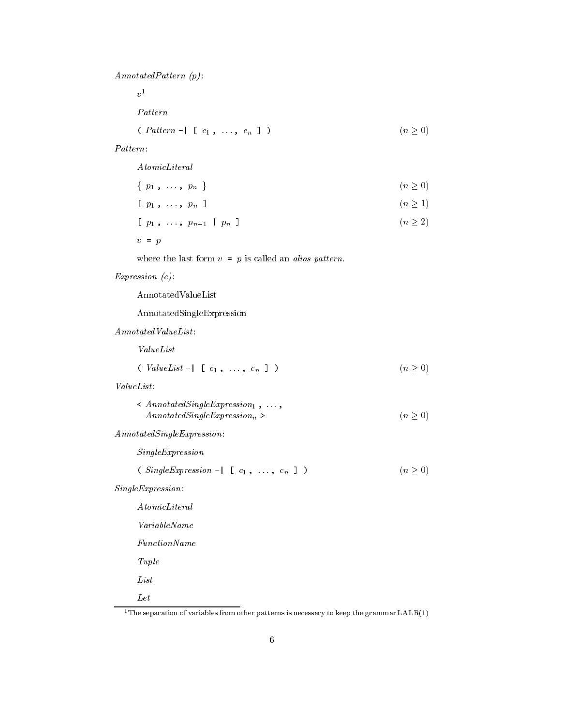AnnotatedPattern (p):

 $v$  and  $v$ 

Pattern

$$
(Pattern - | [c_1, ..., c_n])
$$
 (n \ge 0)

#### Pattern:

| Atomic Literal                 |              |
|--------------------------------|--------------|
| $\{p_1, \ldots, p_n\}$         | $(n \geq 0)$ |
| $[p_1, \ldots, p_n]$           | (n > 1)      |
| $[p_1, \ldots, p_{n-1}   p_n]$ | (n > 2)      |
| $v = p$                        |              |

where the last form  $v = p$  is called an *alias pattern*.

#### Expression (e):

AnnotatedValueList

AnnotatedSingleExpression

 $An notatedValueList$ :

ValueList

$$
(ValueList - | [c_1, ..., c_n]) )
$$
 (n \ge 0)

| $\langle AnnotatedSingleExpression_1, \ldots, \rangle$ |       |
|--------------------------------------------------------|-------|
| $An notated SingleExpressionn$                         | (n>0) |

AnnotatedSingleExpression:

SingleExpression

(  $SingleExpression - | [c_1, ..., c_n ]$  )  $(n \ge 0)$ 

SingleExpression:

AtomicLiteral VariableName FunctionName Tuple List Let

 $^1\rm{The}$  separation of variables from other patterns is necessary to keep the grammar LALR(1)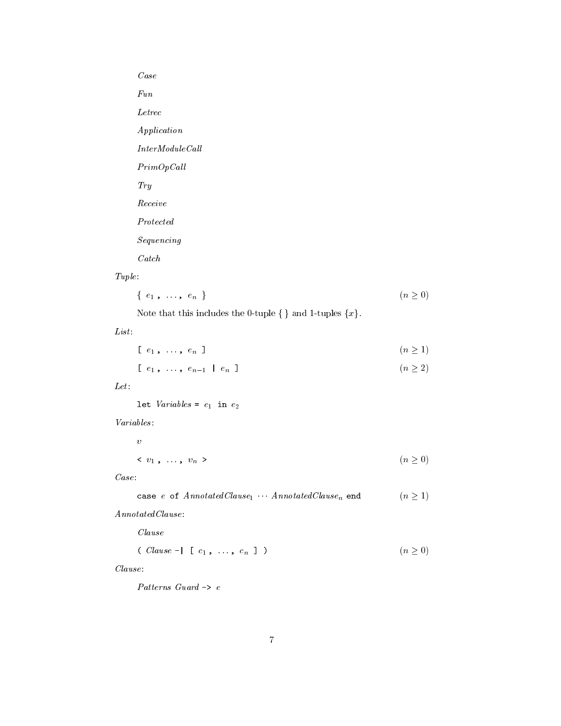# Case Fun Letrec Application  $\label{thm:inter} InterModule Call$  $PrimOpCall$ Try Receive Protected Sequencing

Catch

$$
\{e_1, \ldots, e_n\}
$$
 (n  $\geq 0$ )

Note that this includes the 0-tuple  $\{\}$  and 1-tuples  $\{x\}$ .

### List :

$$
[e_1, \ldots, e_n]
$$
 (n \ge 1)

$$
[e_1, \ldots, e_{n-1} \mid e_n] \qquad (n \ge 2)
$$

### $Let:$

let  $Variables = e_1$  in  $e_2$ 

#### Variables :

v $\langle v_1, \ldots, v_n \rangle$  ( $n \ge 0$ )

```
\label{eq:case} Case:<br/>\texttt{case $e$ of Annotated} Clause_1 \cdot \cdot \cdot Annotated} Clause_n \texttt{ end} \qquad (n \geq 1)
```
### $\label{thm:4} An notated Clausec.$

Clause

$$
( \text{ clause } - | \quad [ \quad c_1 \quad , \quad \ldots \quad , \quad c_n \quad ] \quad ) \tag{n \geq 0}
$$

#### Clause:

Patterns Guard -> <sup>e</sup>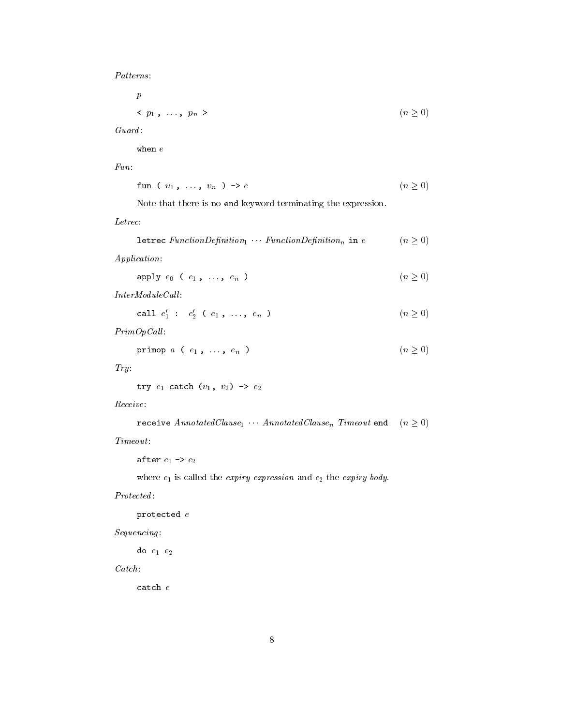Patterns :

p $\langle p_1, \ldots, p_n \rangle$  ( $n \ge 0$ )

 $\begin{aligned} \textit{Guard:} \\ \text{when } e \end{aligned}$ 

Fun:

$$
\verb"fun (v_1, ..., v_n) \rightarrow e \qquad (n \geq 0)
$$

Note that there is no end keyword terminating the expression.

$$
\texttt{letrec}\ \textit{FunctionDefinition}_{1} \ \cdots \ \textit{FunctionDefinition}_{n} \ \texttt{in}\ e \qquad \qquad (n \geq 0) \\
$$

Application:

apply  $e_0$  (  $e_1$ , ...,  $e_n$ )  $(n \ge 0)$ 

 $InterModuleCall:$ 

$$
call \ e'_1 : e'_2 \ (e_1 \ , \ \ldots \ , \ e_n \ ) \tag{n \ge 0}
$$

 $PrimOpCall:$ 

$$
\mathtt{primop} \ a \ ( \ e_1 \ , \ \ldots \ , \ e_n \ ) \qquad \qquad (n \geq 0)
$$

 $Try:$ 

```
try e_1 catch (v_1, v_2) \rightarrow e_2
```
Receive:

```
receive Annotated Clause_1 \cdots Annotated Clause_n Timeout end (n \geq 0)
```
 $Timeout:$ 

after  $e_1 \rightarrow e_2$ 

where  $e_1$  is called the *expiry expression* and  $e_2$  the *expiry body*.

Protected:

protected <sup>e</sup>

Sequencing :

do  $e_1$   $e_2$ 

 $\label{eq:catch} \begin{split} \textit{Cat} &ch: \\ \texttt{catch} &\, e \end{split}$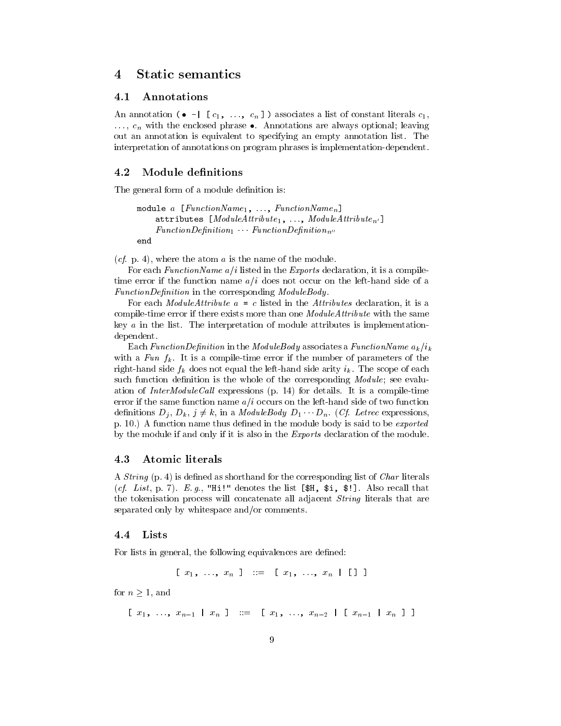#### **Static semantics**  $\overline{4}$

#### 4.1 Annotations

An annotation ( $\bullet$  -  $\lceil c_1, ..., c_n \rceil$ ) associates a list of constant literals  $c_1$ ,  $\ldots$ ,  $c_n$  with the enclosed phrase  $\bullet$ . Annotations are always optional; leaving out an annotation isequivalent to specifying an empty annotation list.The interpretation of annotations on program phrases is implementation-dependent.

#### 4.2 Module denitions

The general form of a module definition is:

```
module a [FunctionName_1, ..., FunctionName_n]attributes [ModuleAttribute_1, ..., ModuleAttribute_n]FunctionDefinition_1 \tFunctionDefinition_nend
```
(*cf.* p. 4), where the atom  $\alpha$  is the name of the module.

For each *FunctionName*  $a/i$  listed in the *Exports* declaration, it is a compiletime error if the function name  $a/i$  does not occur on the left-hand side of a FunctionDefinition in the corresponding ModuleBody.

For each *ModuleAttribute*  $a = c$  listed in the *Attributes* declaration, it is a compile-time error if there exists more than one ModuleAttribute with the same key  $a$  in the list. The interpretation of module attributes is implementationdependent.

Each FunctionDefinition in the ModuleBody associates a FunctionName  $a_k/i_k$ with a Fun  $f_k$ . It is a compile-time error if the number of parameters of the right-hand side  $f_k$  does not equal the left-hand side arity  $i_k$ . The scope of each such function definition is the whole of the corresponding *Module*; see evaluation of *InterModuleCall* expressions  $(p. 14)$  for details. It is a compile-time error if the same function name  $a/i$  occurs on the left-hand side of two function definitions  $D_j$ ,  $D_k$ ,  $j \neq k$ , in a *ModuleBody*  $D_1 \cdots D_n$ . (Cf. Letrec expressions, p. 10.) A function name thus defined in the module body is said to be *exported* by the module if and only if it is also in the Exports declaration of the module.

#### 4.3 Atomic literals

A *String* (p. 4) is defined as shorthand for the corresponding list of *Char* literals (cf. List, p. 7). E.g., "Hi!" denotes the list  $[\mathcal{F}, \mathcal{F}]$ . Also recall that the tokenisation process will concatenate all adjacent *String* literals that are separated only by whitespace and/or comments.

#### 4.4 Lists

For lists in general, the following equivalences are defined:

$$
[x_1, \ldots, x_n] ::= [x_1, \ldots, x_n \mid [1]
$$

for  $n > 1$ , and

 $[x_1, \ldots, x_{n-1} | x_n] := [x_1, \ldots, x_{n-2} | [x_{n-1} | x_n] ]$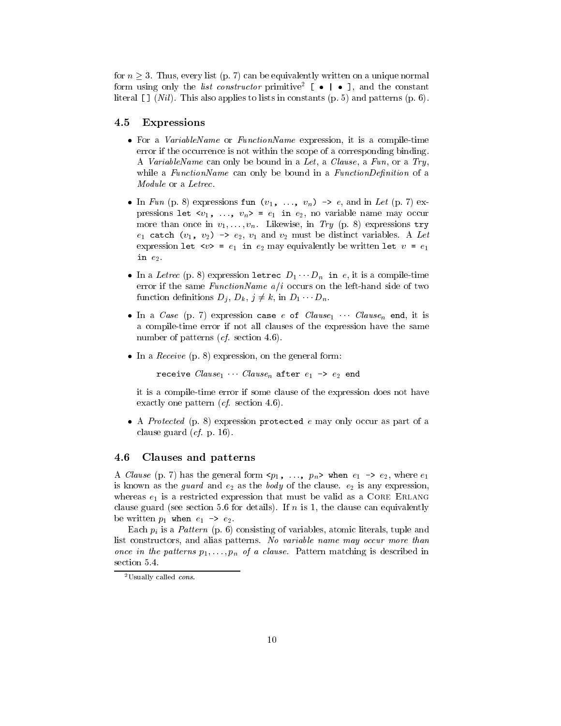for  $n > 3$ . Thus, every list (p. 7) can be equivalently written on a unique normal form using only the *list constructor* primitive  $\Box$   $\bullet$   $\Box$   $\bullet$  and the constant literal  $\llbracket \cdot \rrbracket$  (*Nil*). This also applies to lists in constants (p. 5) and patterns (p. 6).

#### 4.5 Expressions

- $\bullet$  for a *variablel* vame or *functionlyame* expression, it is a compile-time error if the occurrence is not within the scope of a corresponding binding. A VariableName can only be bound in a Let, a Clause, a Fun, or a Try, while a  $FunctionName$  can only be bound in a  $FunctionDefinition$  of a Module or a Letrec.
- In Fun (p. 8) expressions fun ( $v_1$ , ...,  $v_n$ ) -> e, and in Let (p. 7) expressions let  $\langle v_1, \ldots, v_n \rangle = e_1$  in  $e_2$ , no variable name may occur more than once in  $v_1,\ldots,v_n$ . Likewise, in Try (p. 8) expressions try  $e_1$  catch  $(v_1, v_2) \rightarrow e_2, v_1$  and  $v_2$  must be distinct variables. A Let expression let  $\langle v \rangle = e_1$  in  $e_2$  may equivalently be written let  $v = e_1$ in  $e_2$ .
- $\bullet$  in a Letrec (p. 8) expression letrec  $D_1 \cdots D_n$  in e, it is a compile-time error if the same FunctionName  $a/i$  occurs on the left-hand side of two function definitions  $D_j$ ,  $D_k$ ,  $j \neq k$ , in  $D_1 \cdots D_n$ .
- In a Case (p. 7) expression case e of  $Clause_1$  . Clause<sub>n</sub> end, it is a compile-time error if not all clauses of the expression have the same number of patterns (*cf.* section 4.6).
- $\bullet$  In a *Receive* (p. 8) expression, on the general form:

receive  $Clause_1$  Clause<sub>n</sub> after  $e_1 \rightarrow e_2$  end

it is a compile-time error if some clause of the expression does not have exactly one pattern (*cf.* section 4.6).

 $\bullet$  A *Protected* (p. 8) expression protected *e* may only occur as part of a clause guard  $(cf. p. 16)$ .

#### 4.6 Clauses and patterns

A Clause (p. 7) has the general form  $\langle p_1, \ldots, p_n \rangle$  when  $e_1 \rightarrow e_2$ , where  $e_1$ is known as the *guard* and  $e_2$  as the *body* of the clause.  $e_2$  is any expression, whereas  $e_1$  is a restricted expression that must be valid as a CORE ERLANG clause guard (see section 5.6 for details). If  $n$  is 1, the clause can equivalently be written  $p_1$  when  $e_1 \rightarrow e_2$ .

Each  $p_i$  is a Pattern (p. 6) consisting of variables, atomic literals, tuple and list constructors, and alias patterns. No variable name may occur more than once in the patterns  $p_1,\ldots,p_n$  of a clause. Pattern matching is described in section 5.4.

 $^{2}$ Usually called *cons*.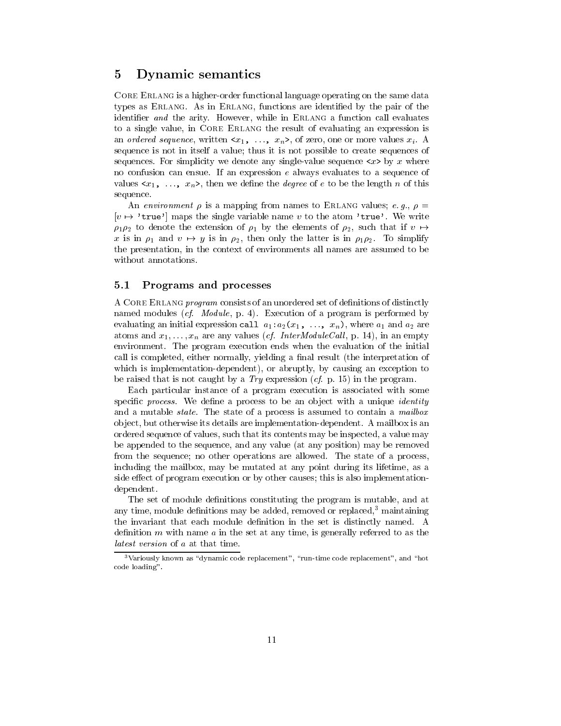## 5 Dynamic semantics

Core Erlang is a higher-order functional language operating on the same data types as Erlang. As in Erlang, functions are identied by the pair of the identifier and the arity. However, while in ERLANG a function call evaluates to a single value, in CORE ERLANG the result of evaluating an expression is an ordered sequence, written  $\langle x_1, \ldots, x_n \rangle$ , of zero, one or more values  $x_i$ . A sequence is not in itself a value; thus it is not possible to create sequences of sequences. For simplicity we denote any single-value sequence  $\langle x \rangle$  by x where no confusion can ensue. If an expression <sup>e</sup> always evaluates to a sequence of values  $\langle x_1, \ldots, x_n \rangle$ , then we define the *degree* of e to be the length n of this sequence.

An environment  $\rho$  is a mapping from names to ERLANG values; e.g.,  $\rho =$  $[v \mapsto 'true']$  maps the single variable name v to the atom 'true'. We write  $\rho_1 \rho_2$  to denote the extension of  $\rho_1$  by the elements of  $\rho_2$ , such that if  $v \mapsto$ x is in  $\rho_1$  and  $v \mapsto y$  is in  $\rho_2$ , then only the latter is in  $\rho_1 \rho_2$ . To simplify the presentation, in the context of environments all names are assumed to be without annotations.

#### 5.1 Programs and processes

A CORE ERLANG *program* consists of an unordered set of definitions of distinctly named modules (cf. Module, p. 4). Execution of a program is performed by evaluating an initial expression call  $a_1:a_2(x_1, \ldots, x_n)$ , where  $a_1$  and  $a_2$  are atoms and  $x_1,\ldots,x_n$  are any values (*cf. InterModuleCall*, p. 14), in an empty environment. The program execution ends when the evaluation of the initial call is completed, either normally, yielding a final result (the interpretation of which is implementation-dependent), or abruptly, by causing an exception to be raised that is not caught by a  $Try$  expression (*cf.* p. 15) in the program.

Each particular instance of a program execution is associated with some specific *process*. We define a process to be an object with a unique *identity* and a mutable *state*. The state of a process is assumed to contain a *mailbox* ob ject, but otherwise its details are implementation-dependent. A mailbox is an ordered sequence of values, such that its contents may be inspected, a value may be appended to the sequence, and any value (at any position) may be removed from the sequence; no other operations are allowed. The state of a process, including the mailbox, may be mutated at any point during its lifetime, as a side effect of program execution or by other causes; this is also implementationdependent.

The set of module definitions constituting the program is mutable, and at any time, module definitions may be added, removed or replaced, $3$  maintaining the invariant that each module definition in the set is distinctly named. A definition  $m$  with name  $a$  in the set at any time, is generally referred to as the latest version of <sup>a</sup> at that time.

 $3$ Variously known as "dynamic code replacement", "run-time code replacement", and "hot code loading".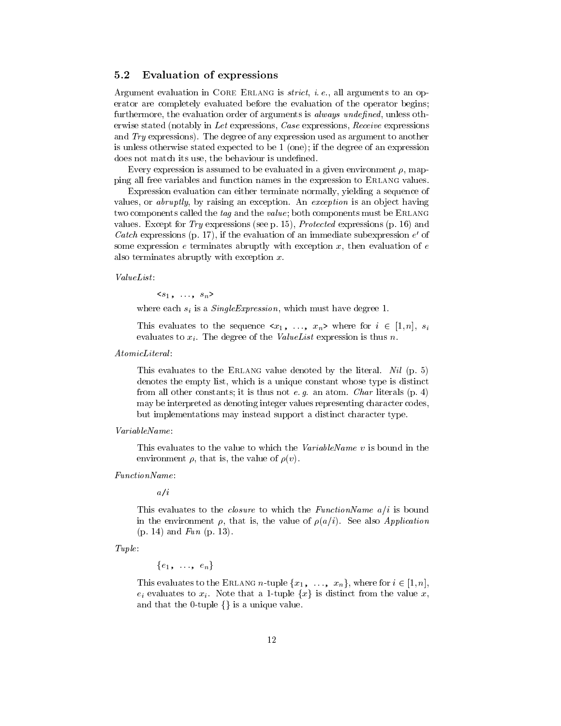#### 5.2 Evaluation of expressions

Argument evaluation in CORE ERLANG is strict, i. e., all arguments to an operator are completely evaluated before the evaluation of the operator begins; furthermore, the evaluation order of arguments is *always undefined*, unless otherwise stated (notably in Let expressions, Case expressions, Receive expressions and Try expressions). The degree of any expression used as argument to another is unless otherwise stated expected to be 1 (one); if the degree of an expression does not match its use, the behaviour is undefined.

Every expression is assumed to be evaluated in a given environment  $\rho$ , mapping all free variables and function names in the expression to ERLANG values.

Expression evaluation can either terminate normally, yielding a sequence of values, or *abruptly*, by raising an exception. An exception is an object having two components called the tag and the value; both components must be ERLANG values. Except for Try expressions (see p. 15), Protected expressions  $(p. 16)$  and Catch expressions (p. 17), if the evaluation of an immediate subexpression  $e$  of some expression  $e$  terminates abruptly with exception  $x$ , then evaluation of  $e$ also terminates abruptly with exception x.

ValueList:<br> $\langle s_1, \ldots, s_n \rangle$ 

where each  $s_i$  is a  $SingleExpression$ , which must have degree 1.

This evaluates to the sequence  $\langle x_1, \ldots, x_n \rangle$  where for  $i \in [1, n], s_i$ evaluates to  $x_i$ . The degree of the *ValueList* expression is thus *n*.

AtomicLiteral :

This evaluates to the ERLANG value denoted by the literal. Nil (p. 5) denotes the empty list, which is a unique constant whose type is distinct from all other constants; it is thus not e. g. an atom. Char literals  $(p, 4)$ may be interpreted as denoting integer values representing character codes, but implementations may instead support a distinct character type.

VariableName:

This evaluates to the value to which the *VariableName* v is bound in the environment  $\rho$ , that is, the value of  $\rho(v)$ .

 $a/i$  $\cdots$  is a interesting of  $\cdots$ 

This evaluates to the *closure* to which the *FunctionName*  $a/i$  is bound in the environment  $\rho$ , that is, the value of  $\rho(a/i)$ . See also *Application*  $(p. 14)$  and  $Fun (p. 13)$ .

Tuple:

 ${e_1, \ldots, e_n}$ 

This evaluates to the ERLANG *n*-tuple  $\{x_1, \ldots, x_n\}$ , where for  $i \in [1, n]$ ,  $e_i$  evaluates to  $x_i$ . Note that a 1-tuple  $\{x\}$  is distinct from the value  $x$ , and that the 0-tuple  $\{\}$  is a unique value.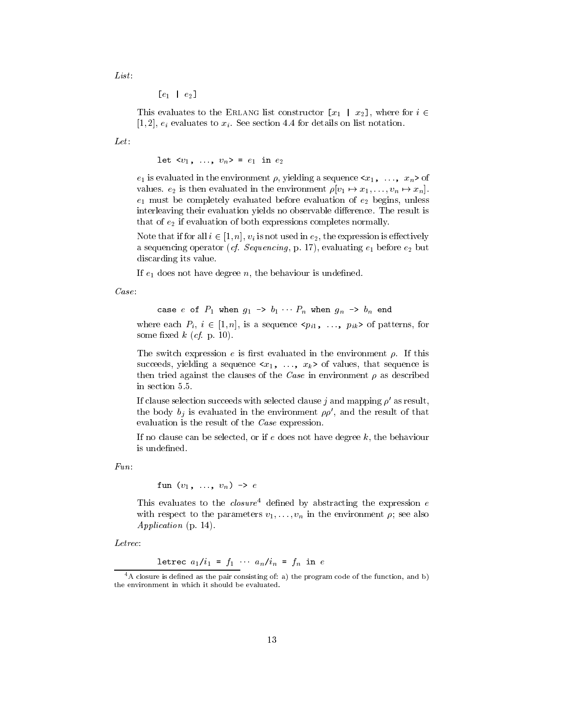List:

 $[e_1 \, | \, e_2]$ 

This evaluates to the ERLANG list constructor  $[x_1 \mid x_2]$ , where for  $i \in$  $[1, 2], e_i$  evaluates to  $x_i$ . See section 4.4 for details on list notation.

Let:

let  $\langle v_1, \ldots, v_n \rangle = e_1$  in  $e_2$ 

 $e_1$  is evaluated in the environment  $\rho$ , yielding a sequence  $\langle x_1, \ldots, x_n \rangle$  of values.  $e_2$  is then evaluated in the environment  $\rho[v_1 \mapsto x_1,\ldots,v_n \mapsto x_n]$ .  $e_1$  must be completely evaluated before evaluation of  $e_2$  begins, unless interleaving their evaluation yields no observable difference. The result is that of  $e_2$  if evaluation of both expressions completes normally.

Note that if for all  $i \in [1, n], v_i$  is not used in  $e_2$ , the expression is effectively a sequencing operator (*cf. Sequencing*, p. 17), evaluating  $e_1$  before  $e_2$  but discarding its value.

If  $e_1$  does not have degree n, the behaviour is undefined.

Case:

case e of 
$$
P_1
$$
 when  $g_1 \rightarrow b_1 \cdots P_n$  when  $g_n \rightarrow b_n$  end

where each  $P_i$ ,  $i \in [1, n]$ , is a sequence  $\langle p_{i1}, \ldots, p_{ik} \rangle$  of patterns, for some fixed  $k$  (*cf.* p. 10).

The switch expression  $e$  is first evaluated in the environment  $\rho$ . If this succeeds, yielding a sequence  $\langle x_1, \ldots, x_k \rangle$  of values, that sequence is then tried against the clauses of the Case in environment  $\rho$  as described in section 5.5.

If clause selection succeeds with selected clause j and mapping  $\rho'$  as result, the body  $b_i$  is evaluated in the environment  $\rho \rho'$ , and the result of that evaluation is the result of the Case expression.

If no clause can be selected, or if  $e$  does not have degree  $k$ , the behaviour is undefined.

Fun:

fun  $(v_1, \ldots, v_n) \rightarrow e$ 

I ms evaluates to the *closure* defined by abstracting the expression e with respect to the parameters  $v_1,\ldots,v_n$  in the environment  $\rho$ ; see also Application (p. 14).

Letrec:

letrec  $a_1/i_1 = f_1 \cdots a_n/i_n = f_n$  in e

 $^{4}$ A closure is defined as the pair consisting of: a) the program code of the function, and b) the environment in which it should be evaluated.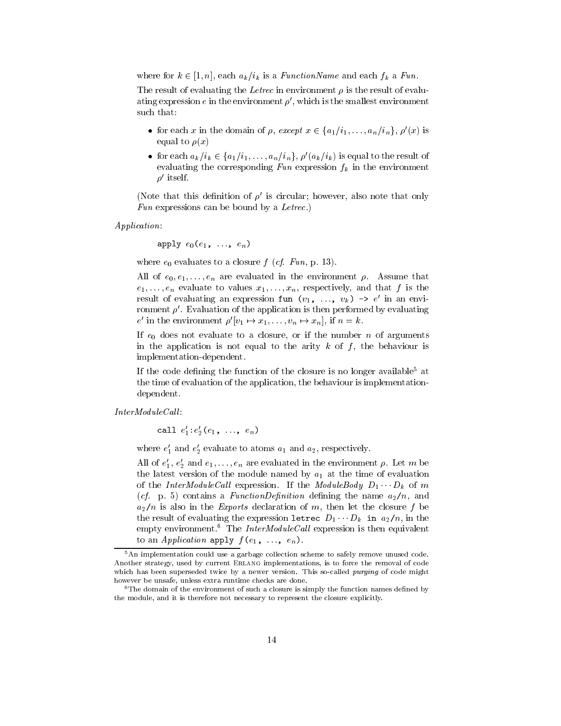where for  $k \in [1, n]$ , each  $a_k/i_k$  is a *FunctionName* and each  $f_k$  a *Fun.* 

The result of evaluating the Letrec in environment  $\rho$  is the result of evaluating expression e in the environment  $\rho'$ , which is the smallest environment such that:

- for each x in the domain of  $\rho$ , except  $x \in \{a_1/i_1,\ldots,a_n/i_n\}$ ,  $\rho'(x)$  is equal to  $\rho(x)$
- for each  $a_k/i_k \in \{a_1/i_1,\ldots,a_n/i_n\}$ ,  $\rho'(a_k/i_k)$  is equal to the result of evaluating the corresponding  $Fun$  expression  $f_k$  in the environment  $\rho$  itself.

(Note that this definition of  $\rho'$  is circular; however, also note that only Fun expressions can be bound by a Letrec.)

Application:<br>apply  $e_0(e_1, \ldots, e_n)$ 

where  $e_0$  evaluates to a closure  $f$  (*cf. Fun*, p. 13).

All of  $e_0, e_1, \ldots, e_n$  are evaluated in the environment  $\rho$ . Assume that  $e_1,\ldots,e_n$  evaluate to values  $x_1,\ldots,x_n$ , respectively, and that f is the result of evaluating an expression  $\text{run}(v_1, \ldots, v_k) \rightarrow e$  in an environment  $\rho'$ . Evaluation of the application is then performed by evaluating e in the environment  $\rho' |v_1 \mapsto x_1, \ldots, v_n \mapsto x_n$ , if  $n = k$ .

If  $e_0$  does not evaluate to a closure, or if the number n of arguments in the application is not equal to the arity  $k$  of  $f$ , the behaviour is implementation-dependent.

If the code defining the function of the closure is no longer available<sup>5</sup> at the time of evaluation of the application, the behaviour is implementationdependent.

 $InterModuleCall:$ 

call  $e_1: e_2(e_1, \ldots, e_n)$ 

where  $e_1$  and  $e_2$  evaluate to atoms  $a_1$  and  $a_2$ , respectively.

All of  $e_1, e_2$  and  $e_1, \ldots, e_n$  are evaluated in the environment  $\rho$ . Let m be the latest version of the module named by  $a_1$  at the time of evaluation of the InterModuleCall expression. If the ModuleBody  $D_1 \cdots D_k$  of m (*cf.* p. 5) contains a *FunctionDefinition* defining the name  $a_2/n$ , and  $a_2/n$  is also in the *Exports* declaration of m, then let the closure f be the result of evaluating the expression letrec  $D_1 \cdots D_k$  in  $a_2/n$ , in the empty environment.<sup>6</sup> The *InterModuleCall* expression is then equivalent to an *Application* apply  $f(e_1, \ldots, e_n)$ .

<sup>&</sup>lt;sup>5</sup>An implementation could use a garbage collection scheme to safely remove unused code. Another strategy, used by current Erlang implementations, is to force the removal of code which has been superseded twice by a newer version. This so-called *purging* of code might however be unsafe, unless extra runtime checks are done.

 $6$ The domain of the environment of such a closure is simply the function names defined by the module, and it is therefore not necessary to represent the closure explicitly.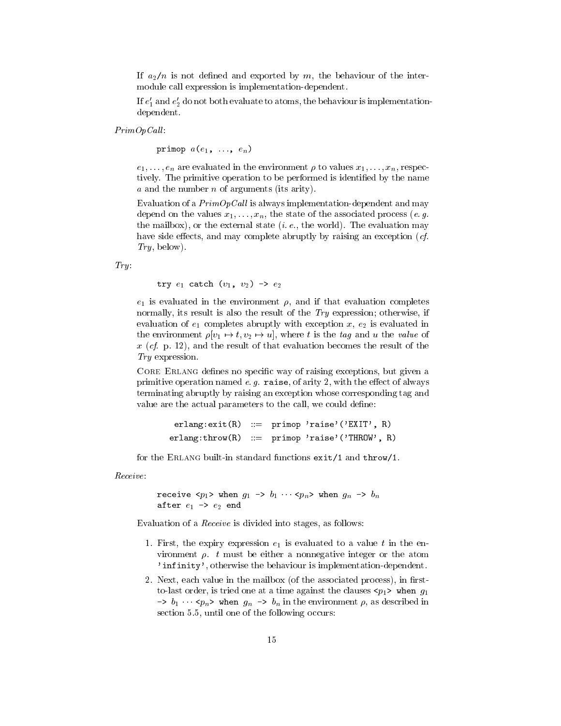If  $a_2/n$  is not defined and exported by m, the behaviour of the intermodule call expression is implementation-dependent.

If  $e_1$  and  $e_2$  do not both evaluate to atoms, the behaviour is implementationdependent.

 $PrimOpCall:$ 

primop  $a(e_1, \ldots, e_n)$ 

 $e_1,\ldots,e_n$  are evaluated in the environment  $\rho$  to values  $x_1,\ldots,x_n$ , respectively. The primitive operation to be performed is identified by the name a and the number of  $\alpha$  are number of  $\alpha$  are  $\alpha$ 

Evaluation of a  $PrimOpCall$  is always implementation-dependent and may depend on the values  $x_1,\ldots,x_n$ , the state of the associated process (e.g. the mailbox), or the external state  $(i. e.,$  the world). The evaluation may have side effects, and may complete abruptly by raising an exception  $(cf.$  $Try, below).$ 

 $Try.$ 

try  $e_1$  catch  $(v_1, v_2) \rightarrow e_2$ 

 $e_1$  is evaluated in the environment  $\rho$ , and if that evaluation completes normally, its result is also the result of the Try expression; otherwise, if evaluation of  $e_1$  completes abruptly with exception x,  $e_2$  is evaluated in the environment  $\rho[v_1 \mapsto t, v_2 \mapsto u]$ , where t is the tag and u the value of x (cf. p. 12), and the result of that evaluation becomes the result of the Try expression.

Core Erlang denes no specic way of raising exceptions, but given a primitive operation named  $e$ .  $g$ . raise, of arity 2, with the effect of always terminating abruptly by raising an exception whose corresponding tag and value are the actual parameters to the call, we could define:

```
erlang:exit(R) ::= primop 'raise'('EXIT', R)
erlang: throw(R) ::= prime' \text{ prime} 'raise'('THROW', R)
```
for the Erlang built-in standard functions exit/1 and throw/1.

Receive:

```
receive \langle p_1 \rangle when g_1 \rightarrow b_1 \cdots \langle p_n \rangle when g_n \rightarrow b_nafter e_1 \rightarrow e_2 end
```
Evaluation of a Receive is divided into stages, as follows:

- 1. First, the expiry expression  $e_1$  is evaluated to a value t in the environment  $\rho$ . t must be either a nonnegative integer or the atom 'infinity', otherwise the behaviour is implementation-dependent.
- 2. Next, each value in the mailbox (of the associated process), in firstto-last order, is tried one at a time against the clauses  $\langle p_1 \rangle$  when  $g_1$  $\Rightarrow b_1 \cdots \langle p_n \rangle$  when  $g_n \Rightarrow b_n$  in the environment  $\rho$ , as described in section 5.5, until one of the following occurs: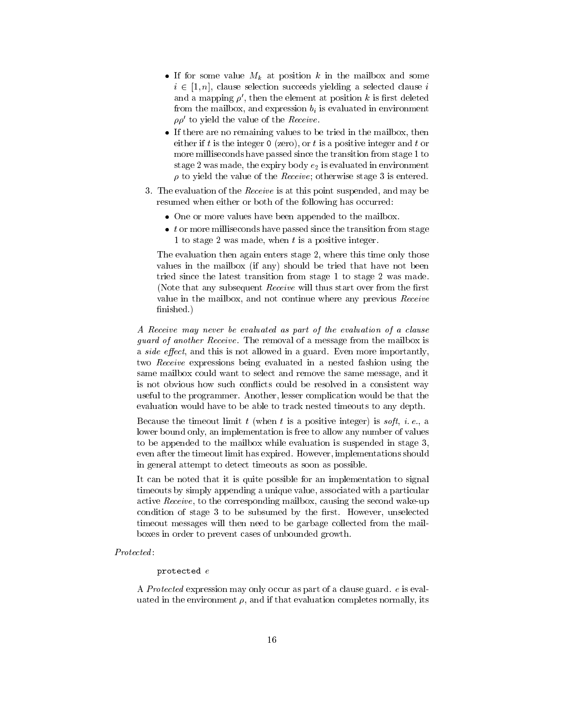- $\bullet$  II for some value  $M_k$  at position  $\kappa$  in the mailbox and some  $i \in [1, n]$ , clause selection succeeds yielding a selected clause  $i$ and a mapping  $\rho'$ , then the element at position k is first deleted from the mailbox, and expression  $b_i$  is evaluated in environment  $\rho\rho$  to yield the value of the  $\hbar e c e i v e$ .
- $\bullet$  If there are no remaining values to be tried in the mailbox, then either if t is the integer  $0$  (zero), or t is a positive integer and t or more milliseconds have passed since the transition from stage 1 to stage 2 was made, the expiry body  $e_2$  is evaluated in environment to yield the value of the Receive; otherwise stage 3 is entered.
- 3. The evaluation of the Receive is at this point suspended, and may be resumed when either or both of the following has occurred:
	- $\bullet$  One or more values have been appended to the mailbox.
	- $\bullet$   $\:$  or more milliseconds have passed since the transition from stage  $\hspace{0.1mm}$ 1 to stage 2 was made, when  $t$  is a positive integer.

The evaluation then again enters stage 2, where this time only those values in the mailbox (if any) should be tried that have not been tried since the latest transition from stage 1 to stage 2 was made. (Note that any subsequent *Receive* will thus start over from the first value in the mailbox, and not continue where any previous Receive finished.)

A Receive may never be evaluated as part of the evaluation of a clause guard of another Receive. The removal of a message from the mailbox is a side effect, and this is not allowed in a guard. Even more importantly, two Receive expressions being evaluated in a nested fashion using the same mailbox could want to select and remove the same message, and it is not obvious how such conflicts could be resolved in a consistent way useful to the programmer. Another, lesser complication would be that the evaluation would have to be able to track nested timeouts to any depth.

Because the timeout limit  $t$  (when  $t$  is a positive integer) is soft, i.e., a lower bound only, an implementation is free to allow any number of values to be appended to the mailbox while evaluation is suspended in stage 3, even after the timeout limit has expired. However, implementations should in general attempt to detect timeouts as soon as possible.

It can be noted that it is quite possible for an implementation to signal timeouts by simply appending a unique value, associated with a particular active Receive, to the corresponding mailbox, causing the second wake-up condition of stage 3 to be subsumed by the first. However, unselected timeout messages will then need to be garbage collected from the mailboxes in order to prevent cases of unbounded growth.

#### protected <sup>e</sup>

A Protected expression may only occur as part of a clause guard. <sup>e</sup> is evaluated in the environment  $\rho$ , and if that evaluation completes normally, its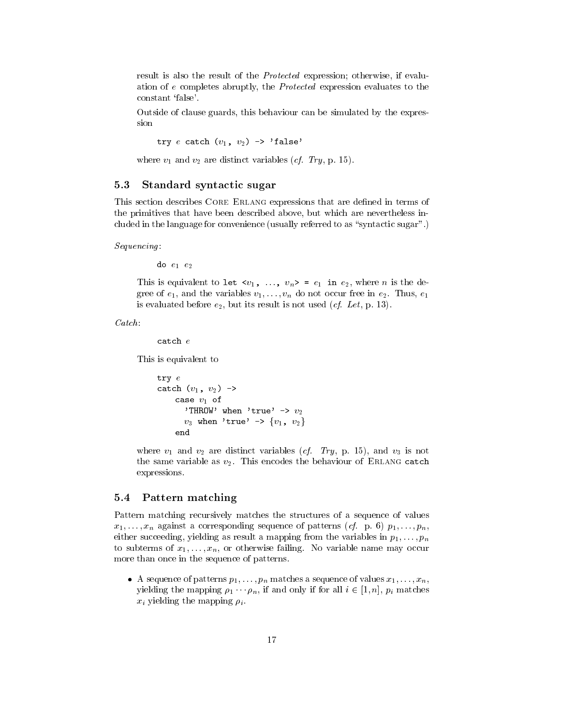result is also the result of the Protected expression; otherwise, if evaluation of <sup>e</sup> completes abruptly, the Protected expression evaluates to the constant 'false'.

Outside of clause guards, this behaviour can be simulated by the expres-

try  $e$  catch  $(v_1, v_2) \rightarrow 'false'$ 

where  $v_1$  and  $v_2$  are distinct variables (*cf. Try*, p. 15).

### 5.3 Standard syntactic sugar

This section describes CORE ERLANG expressions that are defined in terms of the primitives that have been described above, but which are nevertheless included in the language for convenience (usually referred to as "syntactic sugar".)

 $Sequencing:$ <br>do  $e_1$   $e_2$ 

This is equivalent to let  $\langle v_1, \ldots, v_n \rangle = e_1$  in  $e_2$ , where *n* is the degree of  $e_1$ , and the variables  $v_1,\ldots,v_n$  do not occur free in  $e_2$ . Thus,  $e_1$ is evaluated before  $e_2$ , but its result is not used (*cf. Let*, p. 13).

Catch:

catch <sup>e</sup>

This is equivalent to

```
try e
catch (v_1, v_2) \rightarrowcase v_1 of
       'THROW' when 'true' \rightarrow v_2v_3 when 'true' -> \{v_1, v_2\}end
```
where  $v_1$  and  $v_2$  are distinct variables (*cf. Try*, p. 15), and  $v_3$  is not the same variable as  $v_2$ . This encodes the behaviour of ERLANG catch expressions.

#### 5.4 Pattern matching

Pattern matching recursively matches the structures of a sequence of values  $x_1,\ldots,x_n$  against a corresponding sequence of patterns (cf. p. 6)  $p_1,\ldots,p_n$ , either succeeding, yielding as result a mapping from the variables in  $p_1,\ldots,p_n$ to subterms of  $x_1,\ldots,x_n$ , or otherwise failing. No variable name may occur more than once in the sequence of patterns.

 $\bullet$  A sequence of patterns  $p_1,\ldots,p_n$  matches a sequence of values  $x_1,\ldots,x_n,$ yielding the mapping  $\rho_1 \cdots \rho_n$ , if and only if for all  $i \in [1, n]$ ,  $p_i$  matches  $x_i$  yielding the mapping  $\rho_i$ .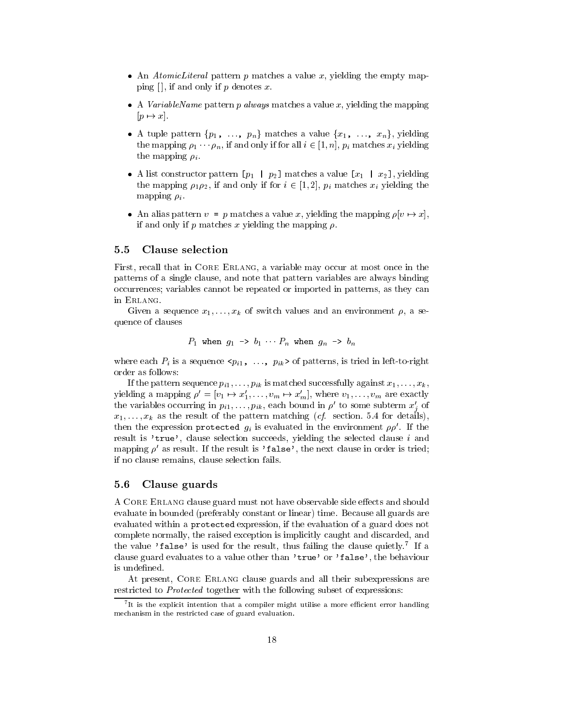- $\bullet$  An *AtomicLiteral* pattern p matches a value x, yielding the empty mapping  $[$ ], if and only if p denotes x.
- $\bullet$  A variable Name pattern p always matches a value x, yielding the mapping  $[p \mapsto x]$ .
- A tuple pattern  $\{p_1, \ldots, p_n\}$  matches a value  $\{x_1, \ldots, x_n\}$ , yielding the mapping  $\rho_1 \cdots \rho_n$ , if and only if for all  $i \in [1, n]$ ,  $p_i$  matches  $x_i$  yielding the mapping  $\rho_i$ .
- A list constructor pattern [ $p_1 + p_2$ ] matches a value [ $x_1 + x_2$ ], yielding the mapping  $\rho_1 \rho_2$ , if and only if for  $i \in [1, 2]$ ,  $p_i$  matches  $x_i$  yielding the mapping  $\rho_i$ .
- An alias pattern  $v = p$  matches a value x, yielding the mapping  $\rho |v \mapsto x|$ , if and only if p matches x yielding the mapping  $\rho$ .

#### **Clause selection**  $5.5$

First, recall that in CORE ERLANG, a variable may occur at most once in the patterns of a single clause, and note that pattern variables are always binding occurrences; variables cannot be repeated or imported in patterns, as they can in Erlang.

Given a sequence  $x_1,\ldots,x_k$  of switch values and an environment  $\rho$ , a sequence of clauses

$$
P_1
$$
 when  $g_1 \rightarrow b_1 \cdots P_n$  when  $g_n \rightarrow b_n$ 

where each  $P_i$  is a sequence  $\langle p_{i1}, \ldots, p_{ik} \rangle$  of patterns, is tried in left-to-right order as follows:

If the pattern sequence  $p_{i1},\ldots,p_{ik}$  is matched successfully against  $x_1,\ldots,x_k$ , yielding a mapping  $\rho' = [v_1 \mapsto x'_1, \ldots, v_m \mapsto x'_m]$ , where  $v_1, \ldots, v_m$  are exactly the variables occurring in  $p_{i1},\ldots,p_{ik}$ , each bound in  $\rho'$  to some subterm  $x'_{i}$  of  $x_1,\ldots,x_k$  as the result of the pattern matching (cf. section. 5.4 for details), then the expression protected  $g_i$  is evaluated in the environment  $\rho \rho'$ . If the result is 'true', clause selection succeeds, yielding the selected clause <sup>i</sup> and mapping  $\rho'$  as result. If the result is 'false', the next clause in order is tried; if no clause remains, clause selection fails.

#### 5.6 Clause guards

A CORE ERLANG clause guard must not have observable side effects and should evaluate in bounded (preferably constant or linear) time. Because all guards are evaluated within a protected expression, if the evaluation of a guard does not complete normally, the raised exception is implicitly caught and discarded, and the value 'false' is used for the result, thus failing the clause quietly.' If a clause guard evaluates to a value other than 'true' or 'false', the behaviour is undefined.

At present, CORE ERLANG clause guards and all their subexpressions are restricted to Protected together with the following subset of expressions:

 $\cdot$  it is the explicit intention that a compiler might utilise a more emclent error handling mechanism in the restricted case of guard evaluation.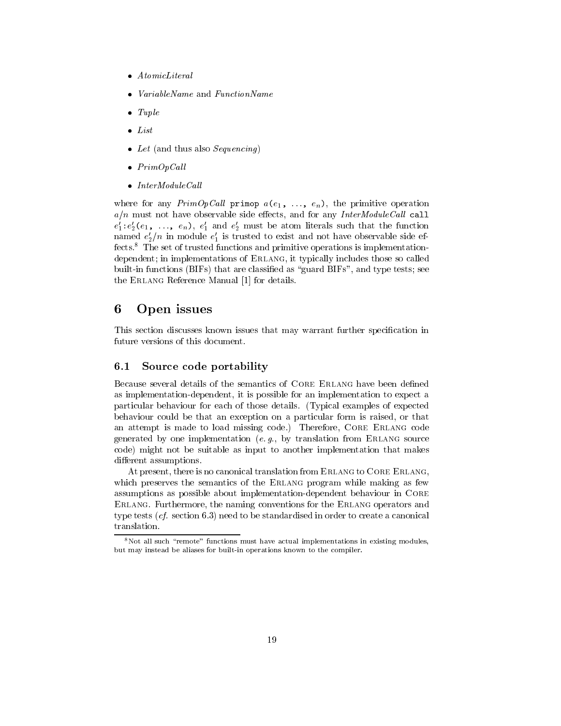- $\bullet$  AtomicLiteral
- . VariableName and FunctionName
- $\bullet$  *Tuple*
- List
- $\bullet$  Let (and thus also Sequencing)
- $\bullet$   $PrimOpCall$
- $\bullet$  InterModuleCall  $\phantom{\bullet}$

where for any  $PrimOpCall$  primop  $a(e_1, ..., e_n)$ , the primitive operation apsolute and must not have side side side and for any intermodule call and for any InterModule Call large and  $e_1$ : $e_2$  $(e_1, \ldots, e_n)$ ,  $e_1$  and  $e_2$  must be atom literals such that the function named  $e_2/n$  in module  $e_1$  is trusted to exist and not have observable side effects.8 The set of trusted functions and primitive operations is implementationdependent; in implementations of Erlang, it typically includes those so called built-in functions (BIFs) that are classified as "guard BIFs", and type tests; see the Erlang Reference Manual [1] for details.

#### 6 6 Open issues

This section discusses known issues that may warrant further specication in future versions of this document.

#### $6.1$ Source code portability

Because several details of the semantics of CORE ERLANG have been defined as implementation-dependent, it is possible for an implementation to expect a particular behaviour for each of those details. (Typical examples of expected behaviour could be that an exception on a particular form is raised, or that an attempt is made to load missing code.) Therefore, Core Erlang code generated by one implementation (e.g., by translation from ERLANG source code) might not be suitable as input to another implementation that makes different assumptions.

At present, there is no canonical translation from ERLANG to CORE ERLANG. which preserves the semantics of the ERLANG program while making as few assumptions as possible about implementation-dependent behaviour in Core Erlang. Furthermore, the naming conventions for the Erlang operators and type tests (cf. section 6.3) need to be standardised in order to create a canonical translation.

 $8$ Not all such "remote" functions must have actual implementations in existing modules, but may instead be aliases for built-in operations known to the compiler.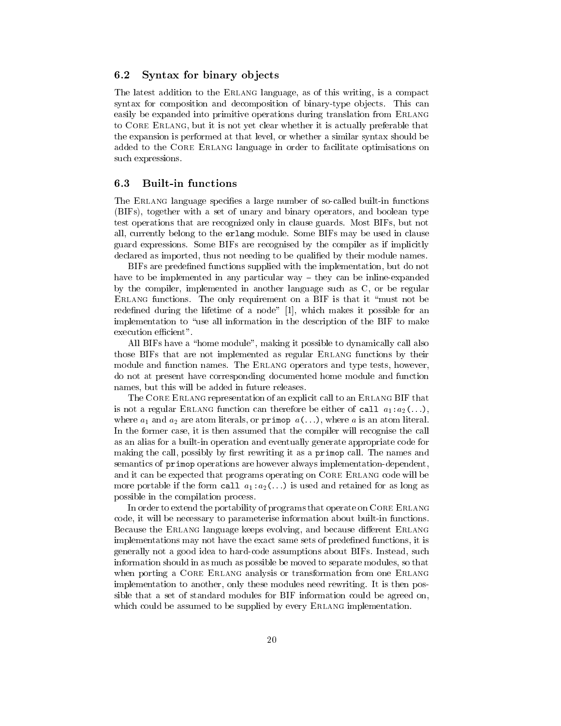#### 6.2 Syntax for binary objects

The latest addition to the ERLANG language, as of this writing, is a compact syntax for composition and decomposition of binary-type ob jects. This can easily be expanded into primitive operations during translation from ERLANG to Core Erlang, but it is not yet clear whether it is actually preferable that the expansion is performed at that level, or whether a similar syntax should be added to the Core Erlang language in order to facilitate optimisations on such expressions.

The ERLANG language specifies a large number of so-called built-in functions (BIFs), together with a set of unary and binary operators, and boolean type test operations that are recognized only in clause guards. Most BIFs, but not all, currently belong to the erlang module. Some BIFs may be used in clause guard expressions. Some BIFs are recognised by the compiler as if implicitly declared as imported, thus not needing to be qualified by their module names.

BIFs are predefined functions supplied with the implementation, but do not have to be implemented in any particular way  $-$  they can be inline-expanded by the compiler, implemented in another language such as C, or be regular  $E$  functions functions. The only requirement on  $E$  is the side it and  $\mathcal{E}$  is the side of  $\mathcal{E}$ redefined during the lifetime of a node" [1], which makes it possible for an implementation to "use all information in the description of the BIF to make execution efficient".

All BIFs have a "home module", making it possible to dynamically call also those BIFs that are not implemented as regular Erlang functions by their module and function names. The Erlang operators and type tests, however, do not at present have corresponding documented home module and function names, but this will be added in future releases.

The CORE ERLANG representation of an explicit call to an ERLANG BIF that is not a regular ERLANG function can therefore be either of call  $a_1:a_2(\ldots)$ , where  $a_1$  and  $a_2$  are atom literals, or primop  $a(\ldots)$ , where a is an atom literal. In the former case, it is then assumed that the compiler will recognise the call as an alias for a built-in operation and eventually generate appropriate code for making the call, possibly by first rewriting it as a primop call. The names and semantics of primop operations are however always implementation-dependent, and it can be expected that programs operating on CORE ERLANG code will be more portable if the form call  $a_1:a_2(\ldots)$  is used and retained for as long as possible in the compilation process.

In order to extend the portability of programs that operate on CORE ERLANG code, it will be necessary to parameterise information about built-in functions. Because the ERLANG language keeps evolving, and because different ERLANG implementations may not have the exact same sets of predened functions, it is generally not a good idea to hard-code assumptions about BIFs. Instead, such information should in as much as possible be moved to separate modules, so that when porting a CORE ERLANG analysis or transformation from one ERLANG implementation to another, only these modules need rewriting. It is then possible that a set of standard modules for BIF information could be agreed on, which could be assumed to be supplied by every ERLANG implementation.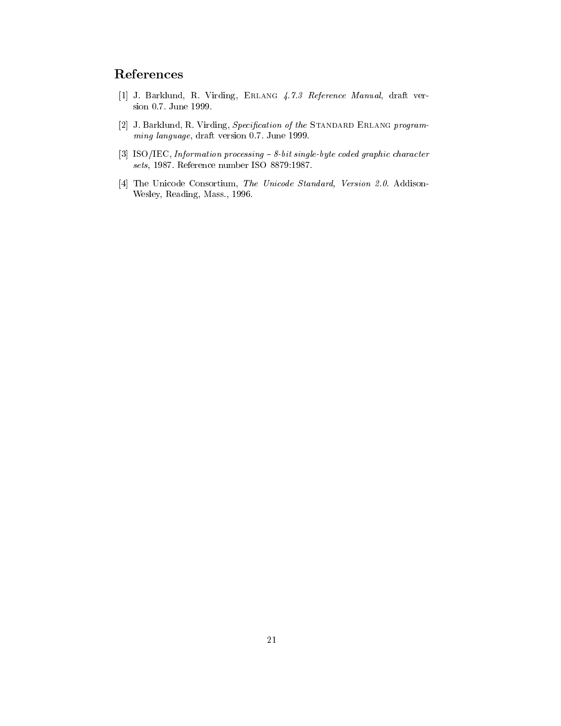# References

- [1] J. Barklund, R. Virding, Erlang 4.7.3 Reference Manual, draft version 0.7. June 1999.
- [2] J. Barklund, R. Virding, Specification of the STANDARD ERLANG programming language, draft version 0.7. June 1999.
- [3] ISO/IEC, Information processing  $-8$ -bit single-byte coded graphic character sets, 1987. Reference number ISO 8879:1987.
- [4] The Unicode Consortium, The Unicode Standard, Version 2.0. Addison-Wesley, Reading, Mass., 1996.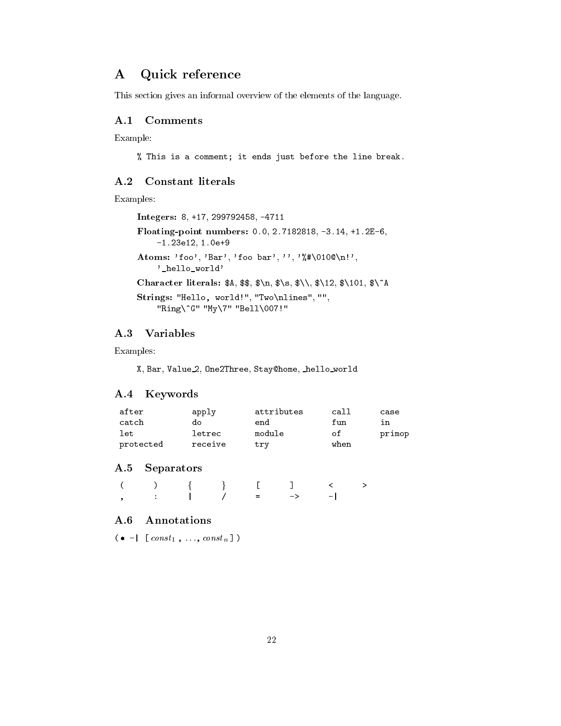# A Quick reference

This section gives an informal overview of the elements of the language.

Example:

% This is a comment; it ends just before the line break.

### A.2 Constant literals

Examples:

```
Integers: 8, +17, 299792458, -4711
Floating-point numbers: 0.0, 2.7182818, -3.14, +1.2E-6, -1.23e12, 1.0e+9
Atoms: 'foo', 'Bar', 'foo bar', '', '%#\010@\n!',
          '_hello_world'
Character literals: A, $*, \ \n\lambda, \ \n\lambda, \ \n\lambda, \ \n\lambda, \ \n\lambda, \ \n\lambda, \ \n\lambda, \ \n\lambda, \ \n\lambda, \ \n\lambda, \ \n\lambda, \ \n\lambda, \ \n\lambda, \ \n\lambda, \ \n\lambda, \ \n\lambda, \ \n\lambda, \ \n\lambda, \ \n\lambda, \ \n\lambda, \ \n\lambda, \ \n\lambda, \ \n\lambda, \ \n\lambda, \ \n\lambda, \ \n\lambda, \ \n\lambda, \ \n\lambda, \ \n\lambda, \ \n\lambda, \ \n\lambda, \ \n\lambda, \ \n\Strings: "Hello, world!", "Two\nlines", "", "Ring\^G" "My\7" "Bell\007!"
```
### A.3 Variables

Examples:

X, Bar, Value 2, One2Three, Stay@home, hello world

### A.4 Keywords

| after     | apply   | attributes | call | case   |  |
|-----------|---------|------------|------|--------|--|
| catch     | do      | end        | fun  | ın     |  |
| let       | letrec  | module     | οf   | primop |  |
| protected | receive | trv        | when |        |  |

### A.5 Separators

|  |  | $( ) \qquad \qquad ( ) \qquad \{ \qquad \} \qquad \  \  \, \mathsf{I} \qquad \  \  \, \mathsf{J} \qquad \  \  \, < \qquad \  \  \, > \qquad$ |  |
|--|--|----------------------------------------------------------------------------------------------------------------------------------------------|--|
|  |  |                                                                                                                                              |  |

### A.6 Annotations

 $\mathcal{O}$  - |  $l \text{ const}_{1}, \ldots, \text{ const}_{n}$  )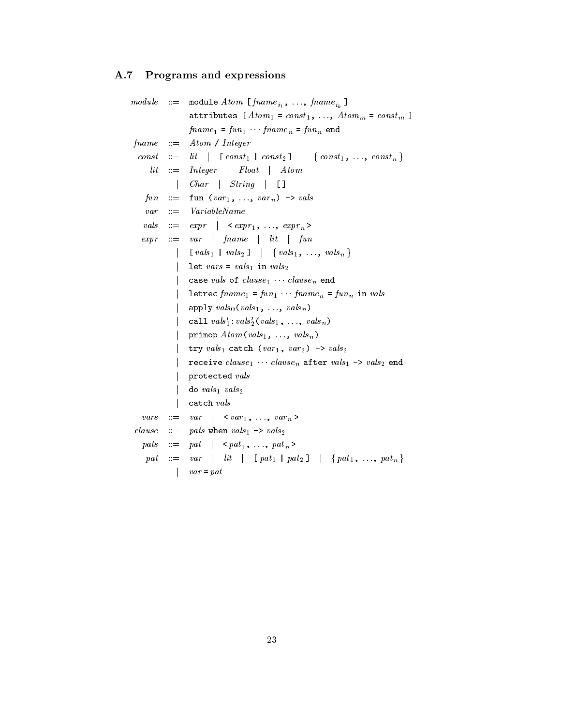# A.7 Programs and expressions

|               |                           | $module \quad ::= \quad module \ Atom \ [frame_{i_1}, \ldots, frame_{i_k}]$                     |  |  |  |
|---------------|---------------------------|-------------------------------------------------------------------------------------------------|--|--|--|
|               |                           | attributes $[Atom_1 = const_1, , Atom_m = const_m]$                                             |  |  |  |
|               |                           | $fname_1 = fun_1 \cdots{} frame_n = fun_n$ end                                                  |  |  |  |
| fname         | $\therefore =$            | Atom / Integer                                                                                  |  |  |  |
| const         | $\mathbf{m} = \mathbf{m}$ | $lit \mid \text{[const}_1 \mid const_2] \mid \{const_1, \ldots, \text{const}_n\}$               |  |  |  |
| $_{lit}$      | $\cdots =$                | Integer   Float   Atom                                                                          |  |  |  |
|               |                           | $Char \mid String \mid \square$                                                                 |  |  |  |
| fun           | $\mathbf{r} =$            | fun $(var_1, \ldots, var_n) \rightarrow vals$                                                   |  |  |  |
| var           | $\mathbf{r} =$            | VariableName                                                                                    |  |  |  |
| vals          | $\mathbf{m} = \mathbf{0}$ | $\begin{array}{c c} \n \text{expr} & \times \text{expr}_1, \dots, \text{expr}_n \n\end{array}$  |  |  |  |
| expr          | $\mathbb{R}^m$            | $var \mid \text{frame} \mid \text{lit} \mid \text{fun}$                                         |  |  |  |
|               |                           | $\lceil vals_1 \rceil$ vals <sub>2</sub> $\rceil$ $\{vals_1, \ldots, vals_n\}$                  |  |  |  |
|               |                           | let vars = vals <sub>1</sub> in vals <sub>2</sub>                                               |  |  |  |
|               |                           | case vals of $clause_1$ clause <sub>n</sub> end                                                 |  |  |  |
|               |                           | letrec $fname_1 = fun_1$ frame <sub>n</sub> = $fun_n$ in vals                                   |  |  |  |
|               |                           | apply $vals_0(vals_1, , vals_n)$                                                                |  |  |  |
|               |                           | call $vals_1':vals_2'(vals_1, , \text{vals}_n)$                                                 |  |  |  |
|               |                           | primop $Atom\left(vals_1, \ldots, \text{vals}_n \right)$                                        |  |  |  |
|               |                           | try $vals_1$ catch $(var_1, var_2) \rightarrow vals_2$                                          |  |  |  |
|               |                           | receive $clause_1 \cdots clause_n$ after $vals_1 \rightarrow vals_2$ end                        |  |  |  |
|               |                           | protected vals                                                                                  |  |  |  |
|               |                           | do $vals_1$ $vals_2$                                                                            |  |  |  |
|               |                           | catch vals                                                                                      |  |  |  |
| vars          | $::=$                     | $var \mid \langle var_1, \ldots, var_n \rangle$                                                 |  |  |  |
| $_{clause}$   | $\mathbf{m}$              | pats when $vals_1 \rightarrow vals_2$                                                           |  |  |  |
| $_{\it pats}$ | $\cdots =$                | $pat \mid \langle pat_1, \ldots, pat_n \rangle$                                                 |  |  |  |
| pat           | $::=$                     | var   $lit$   [pat <sub>1</sub>   pat <sub>2</sub> ]   {pat <sub>1</sub> , , pat <sub>n</sub> } |  |  |  |
|               |                           | $var = pat$                                                                                     |  |  |  |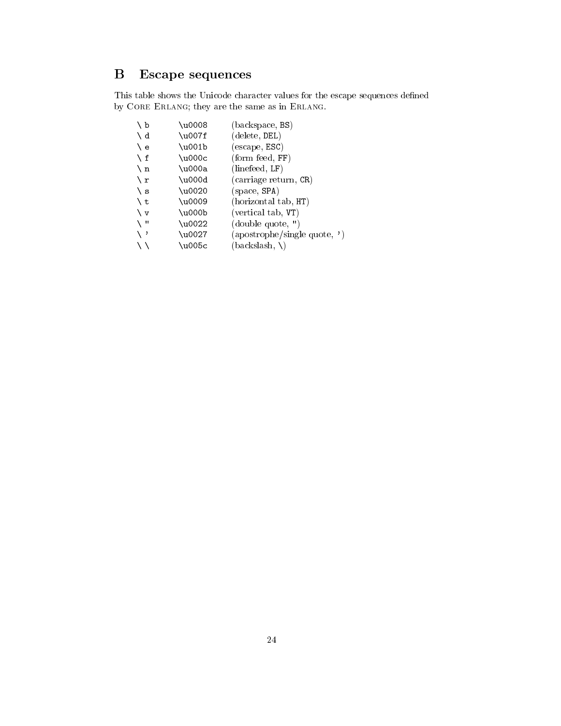# B Escape sequences

This table shows the Unicode character values for the escape sequences defined  $\,$ by Core Erlang; they are the same as in Erlang.

| $\setminus b$ | \u0008   | (backspace, BS)               |
|---------------|----------|-------------------------------|
| $\setminus d$ | \u007f   | (delete, DEL)                 |
| \ e           | $\u001b$ | (escape, ESC)                 |
| $\mathbf{f}$  | \u000c   | $(\text{form feed}, FF)$      |
| $\mathbf{h}$  | \u000a   | (linefeed, LF)                |
| $\chi$ r      | \u000d   | (carriage return, CR)         |
| ∖ s           | \u0020   | (space, SPA)                  |
| Ιt            | \u0009   | (horizontal tab, HT)          |
| $\vee$ v      | \u000b   | (vertical tab, VT)            |
| $\sqrt{ }$    | \u0022   | (double quote, ")             |
| ∖ '           | \u0027   | (apostrophe/single quote, ' ) |
|               | \u005c   | (backslash, \)                |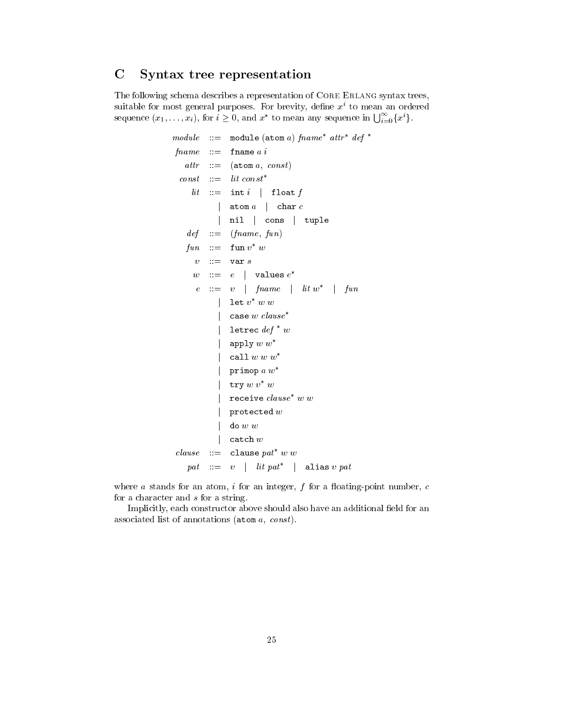#### $\mathbf C$ Syntax tree representation

The following schema describes a representation of CORE ERLANG syntax trees, suitable for most general purposes. For brevity, define  $x<sup>i</sup>$  to mean an ordered sequence  $(x_1,\ldots,x_i)$ , for  $i\geq 0$ , and  $x^*$  to mean any sequence in  $\bigcup_{i=0}^{\infty} \{x^i\}$ .

```
module \ ::=\ \ module\ (atom\ a)\ fname^* \ attr^* \ def^*fname \quad ::= \quad \text{frame } a \; iattr ::= (atom a, const)
  const \quad ::= \quad lit \; const^*lit := int i float f
            | atom a | char cnil cons tuple
    def \ ::= (fname, fun)\mathit{fun} ::= \tt{run} v w\overline{v}::= var sw ::= e \mid values e^*e\Box = v | fname | lit w^* | fun
             \vert let v^* \; w \; wcase w clause*
               letrec def^*wapply w w^*| call w\ w\ w^*| primop a w^*| try w v^* wreceive clause^* w w
               protected w\text{do } w wcatch \boldsymbol{w}clause ::= clause pat* w w
    pat \quad ::= \quad v \quad | \quad lit \;pat^* \quad | \quad \textsf{alias} \; v \; pat
```
where  $a$  stands for an atom,  $i$  for an integer,  $f$  for a floating-point number,  $c$ for a character and <sup>s</sup> for a string.

Implicitly, each constructor above should also have an additional field for an associated list of annotations ( $\texttt{atom}\,a,\;const$ ).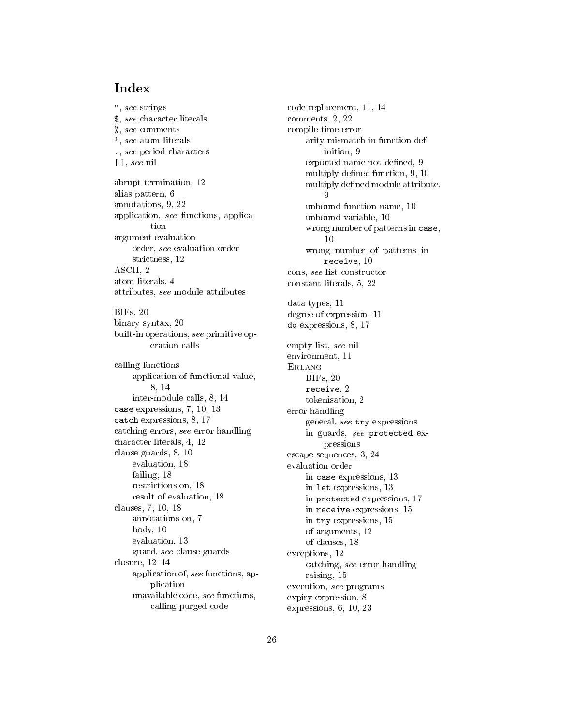## Index

", see strings \$, see character literals %, see comments ', see atom literals ., see period characters [ ], see nil abrupt termination, 12 alias pattern, 6 annotations, 9, 22 application, see functions, applicaargument evaluation order, see evaluation order strictness, 12 ASCII. 2 <u>ASCII, 2005, 2006, 2007, 2008, 2007, 2008, 200</u> atom literals, 4 attributes, see module attributes BIFs, 20 binary syntax, 20 built-in operations, see primitive operation calls calling functions application of functional value, 8, 14 inter-module calls, 8, 14 case expressions, 7, 10, 13 catch expressions, 8, 17 catching errors, see error handling character literals, 4, 12 clause guards, 8, 10 evaluation, 18 failing, 18 restrictions on, 18 result of evaluation, 18 clauses, 7, 10, 18 annotations on, 7 body, 10 evaluation, 13 guard, see clause guards closure,  $12–14$ application of, see functions, application unavailable code, see functions, calling purged code

code replacement, 11, 14 comments, 2, 22 compile-time error arity mismatch in function definition, 9 exported name not defined, 9 multiply defined function, 9, 10 multiply defined module attribute, unbound function name, 10 unbound variable, 10 wrong number of patterns in case,  $10$ wrong number of patterns in receive, 10 cons, see list constructor constant literals, 5, 22 data types, 11 degree of expression, 11 do expressions, 8, 17 empty list, see nil environment, 11 ErlangBIFs, 20 receive, 2 tokenisation, 2 error handling general, see try expressions in guards, see protected expressions escape sequences, 3, 24 evaluation order in case expressions, 13 in let expressions, 13 in protected expressions, 17 in receive expressions, 15 in try expressions, 15 of arguments, 12 of clauses, 18 exceptions, 12 catching, see error handling raising, 15 execution, see programs expiry expression, 8

expressions, 6, 10, 23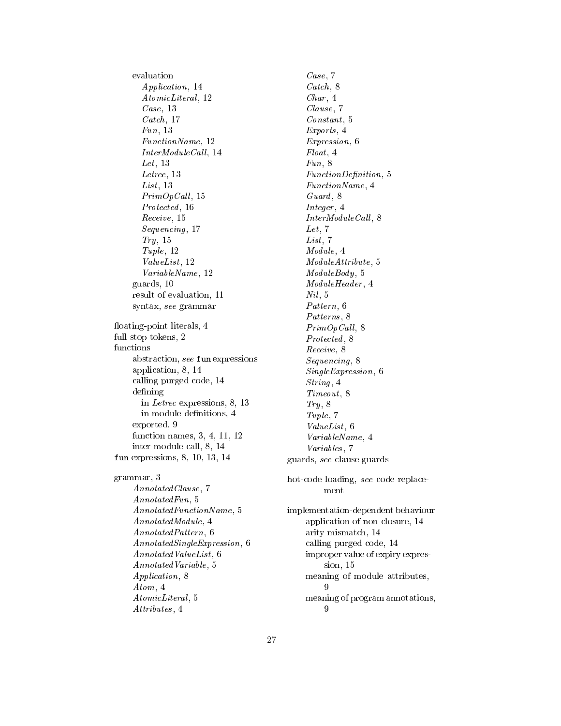evaluation Application, 14 AtomicLiteral, 12 Case, 13 Catch, 17 Fun, 13 FunctionName, 12  $InterModuleCall, 14$ Let, 13 Letrec, 13  $List, 13$  $PrimOpCall, 15$ Protected, 16 Receive, 15 Sequencing , 17  $Try, 15$ Tuple, 12 ValueList, 12 VariableName, 12 guards, 10 result of evaluation, 11 syntax, see grammar floating-point literals, 4 full stop tokens, 2 functions abstraction, see fun expressions application, 8, 14 calling purged code, 14 defining in Letrec expressions, 8, 13 in module definitions, 4 exported, 9 function names, 3, 4, 11, 12 inter-module call, 8, 14 fun expressions, 8, 10, 13, 14 grammar, 3 AnnotatedClause, 7 AnnotatedFun, 5 AnnotatedFunctionName, 5 AnnotatedModule, 4 AnnotatedPattern, 6 AnnotatedSingleExpression, 6 AnnotatedValueList , 6 AnnotatedVariable, 5 Application, 8 Atom, 4 AtomicLiteral, 5 Attributes, 4

Case, 7 Catch, 8 Char, 4 Clause, 7 Constant, 5 Exports,  $4$ Expression, 6 Float , 4 Fun, 8 FunctionDefinition, 5 FunctionName, 4 Guard,  $8$ Integer , 4  $InterModuleCall, 8$ Let,  $7$  $List, 7$ Module, 4 ModuleAttribute, 5  $ModuleBody, 5$ ModuleHeader , 4 Nil , 5 Pattern, 6 Patterns, 8  $PrimOpCall, 8$ Protected,  $8$ Receive, 8 Sequencing , 8 SingleExpression, 6 String, 4 Timeout, 8  $Try, 8$ Tuple, 7 ValueList , 6 VariableName, 4 Variables, 7 guards, see clause guards hot-code loading, see code replacement implementation-dependent behaviour application of non-closure, 14 arity mismatch, 14 calling purged code, 14 improper value of expiry expression, 15 meaning of module attributes, -9 meaning of program annotations,

 $\Omega$